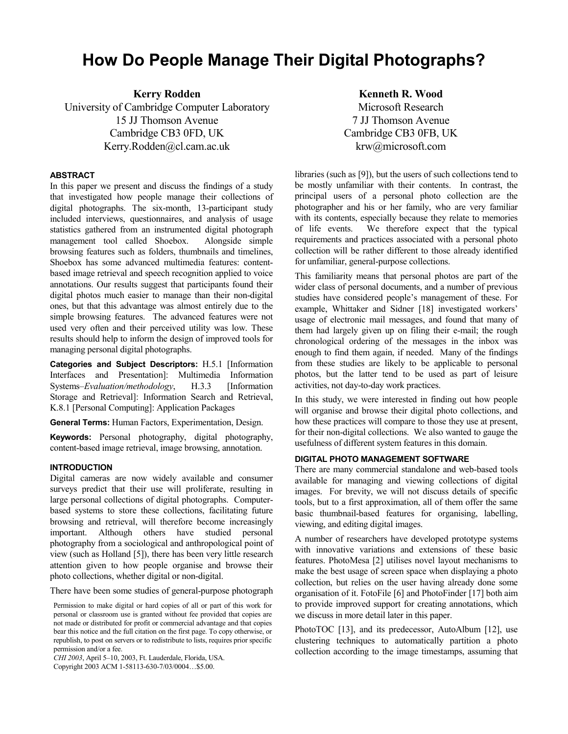# **How Do People Manage Their Digital Photographs?**

**Kerry Rodden**  University of Cambridge Computer Laboratory 15 JJ Thomson Avenue Cambridge CB3 0FD, UK Kerry.Rodden@cl.cam.ac.uk

#### **ABSTRACT**

In this paper we present and discuss the findings of a study that investigated how people manage their collections of digital photographs. The six-month, 13-participant study included interviews, questionnaires, and analysis of usage statistics gathered from an instrumented digital photograph management tool called Shoebox. Alongside simple browsing features such as folders, thumbnails and timelines, Shoebox has some advanced multimedia features: contentbased image retrieval and speech recognition applied to voice annotations. Our results suggest that participants found their digital photos much easier to manage than their non-digital ones, but that this advantage was almost entirely due to the simple browsing features. The advanced features were not used very often and their perceived utility was low. These results should help to inform the design of improved tools for managing personal digital photographs.

**Categories and Subject Descriptors:** H.5.1 [Information Interfaces and Presentation]: Multimedia Information Systems–*Evaluation/methodology*, H.3.3 [Information Storage and Retrieval]: Information Search and Retrieval, K.8.1 [Personal Computing]: Application Packages

**General Terms:** Human Factors, Experimentation, Design.

**Keywords:** Personal photography, digital photography, content-based image retrieval, image browsing, annotation.

#### **INTRODUCTION**

Digital cameras are now widely available and consumer surveys predict that their use will proliferate, resulting in large personal collections of digital photographs. Computerbased systems to store these collections, facilitating future browsing and retrieval, will therefore become increasingly important. Although others have studied personal photography from a sociological and anthropological point of view (such as Holland [5]), there has been very little research attention given to how people organise and browse their photo collections, whether digital or non-digital.

There have been some studies of general-purpose photograph

*CHI 2003*, April 5–10, 2003, Ft. Lauderdale, Florida, USA.

Copyright 2003 ACM 1-58113-630-7/03/0004…\$5.00.

**Kenneth R. Wood**  Microsoft Research 7 JJ Thomson Avenue Cambridge CB3 0FB, UK krw@microsoft.com

libraries (such as [9]), but the users of such collections tend to be mostly unfamiliar with their contents. In contrast, the principal users of a personal photo collection are the photographer and his or her family, who are very familiar with its contents, especially because they relate to memories of life events. We therefore expect that the typical requirements and practices associated with a personal photo collection will be rather different to those already identified for unfamiliar, general-purpose collections.

This familiarity means that personal photos are part of the wider class of personal documents, and a number of previous studies have considered people's management of these. For example, Whittaker and Sidner [18] investigated workers' usage of electronic mail messages, and found that many of them had largely given up on filing their e-mail; the rough chronological ordering of the messages in the inbox was enough to find them again, if needed. Many of the findings from these studies are likely to be applicable to personal photos, but the latter tend to be used as part of leisure activities, not day-to-day work practices.

In this study, we were interested in finding out how people will organise and browse their digital photo collections, and how these practices will compare to those they use at present, for their non-digital collections. We also wanted to gauge the usefulness of different system features in this domain.

#### **DIGITAL PHOTO MANAGEMENT SOFTWARE**

There are many commercial standalone and web-based tools available for managing and viewing collections of digital images. For brevity, we will not discuss details of specific tools, but to a first approximation, all of them offer the same basic thumbnail-based features for organising, labelling, viewing, and editing digital images.

A number of researchers have developed prototype systems with innovative variations and extensions of these basic features. PhotoMesa [2] utilises novel layout mechanisms to make the best usage of screen space when displaying a photo collection, but relies on the user having already done some organisation of it. FotoFile [6] and PhotoFinder [17] both aim to provide improved support for creating annotations, which we discuss in more detail later in this paper.

PhotoTOC [13], and its predecessor, AutoAlbum [12], use clustering techniques to automatically partition a photo collection according to the image timestamps, assuming that

Permission to make digital or hard copies of all or part of this work for personal or classroom use is granted without fee provided that copies are not made or distributed for profit or commercial advantage and that copies bear this notice and the full citation on the first page. To copy otherwise, or republish, to post on servers or to redistribute to lists, requires prior specific permission and/or a fee.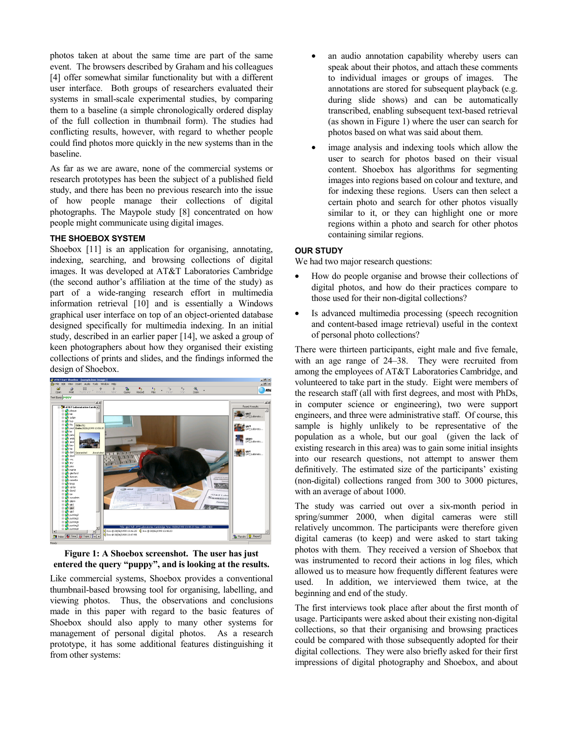photos taken at about the same time are part of the same event. The browsers described by Graham and his colleagues [4] offer somewhat similar functionality but with a different user interface. Both groups of researchers evaluated their systems in small-scale experimental studies, by comparing them to a baseline (a simple chronologically ordered display of the full collection in thumbnail form). The studies had conflicting results, however, with regard to whether people could find photos more quickly in the new systems than in the baseline.

As far as we are aware, none of the commercial systems or research prototypes has been the subject of a published field study, and there has been no previous research into the issue of how people manage their collections of digital photographs. The Maypole study [8] concentrated on how people might communicate using digital images.

#### **THE SHOEBOX SYSTEM**

Shoebox [11] is an application for organising, annotating, indexing, searching, and browsing collections of digital images. It was developed at AT&T Laboratories Cambridge (the second author's affiliation at the time of the study) as part of a wide-ranging research effort in multimedia information retrieval [10] and is essentially a Windows graphical user interface on top of an object-oriented database designed specifically for multimedia indexing. In an initial study, described in an earlier paper [14], we asked a group of keen photographers about how they organised their existing collections of prints and slides, and the findings informed the design of Shoebox.



**Figure 1: A Shoebox screenshot. The user has just entered the query "puppy", and is looking at the results.** 

Like commercial systems, Shoebox provides a conventional thumbnail-based browsing tool for organising, labelling, and viewing photos. Thus, the observations and conclusions made in this paper with regard to the basic features of Shoebox should also apply to many other systems for management of personal digital photos. As a research prototype, it has some additional features distinguishing it from other systems:

- an audio annotation capability whereby users can speak about their photos, and attach these comments to individual images or groups of images. The annotations are stored for subsequent playback (e.g. during slide shows) and can be automatically transcribed, enabling subsequent text-based retrieval (as shown in Figure 1) where the user can search for photos based on what was said about them.
- image analysis and indexing tools which allow the user to search for photos based on their visual content. Shoebox has algorithms for segmenting images into regions based on colour and texture, and for indexing these regions. Users can then select a certain photo and search for other photos visually similar to it, or they can highlight one or more regions within a photo and search for other photos containing similar regions.

#### **OUR STUDY**

We had two major research questions:

- How do people organise and browse their collections of digital photos, and how do their practices compare to those used for their non-digital collections?
- Is advanced multimedia processing (speech recognition and content-based image retrieval) useful in the context of personal photo collections?

There were thirteen participants, eight male and five female, with an age range of 24–38. They were recruited from among the employees of AT&T Laboratories Cambridge, and volunteered to take part in the study. Eight were members of the research staff (all with first degrees, and most with PhDs, in computer science or engineering), two were support engineers, and three were administrative staff. Of course, this sample is highly unlikely to be representative of the population as a whole, but our goal (given the lack of existing research in this area) was to gain some initial insights into our research questions, not attempt to answer them definitively. The estimated size of the participants' existing (non-digital) collections ranged from 300 to 3000 pictures, with an average of about 1000.

The study was carried out over a six-month period in spring/summer 2000, when digital cameras were still relatively uncommon. The participants were therefore given digital cameras (to keep) and were asked to start taking photos with them. They received a version of Shoebox that was instrumented to record their actions in log files, which allowed us to measure how frequently different features were used. In addition, we interviewed them twice, at the beginning and end of the study.

The first interviews took place after about the first month of usage. Participants were asked about their existing non-digital collections, so that their organising and browsing practices could be compared with those subsequently adopted for their digital collections. They were also briefly asked for their first impressions of digital photography and Shoebox, and about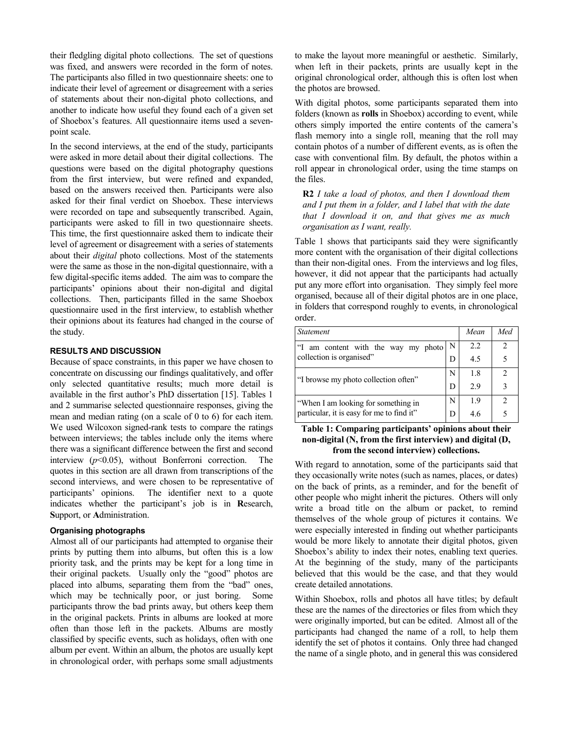their fledgling digital photo collections. The set of questions was fixed, and answers were recorded in the form of notes. The participants also filled in two questionnaire sheets: one to indicate their level of agreement or disagreement with a series of statements about their non-digital photo collections, and another to indicate how useful they found each of a given set of Shoebox's features. All questionnaire items used a sevenpoint scale.

In the second interviews, at the end of the study, participants were asked in more detail about their digital collections. The questions were based on the digital photography questions from the first interview, but were refined and expanded, based on the answers received then. Participants were also asked for their final verdict on Shoebox. These interviews were recorded on tape and subsequently transcribed. Again, participants were asked to fill in two questionnaire sheets. This time, the first questionnaire asked them to indicate their level of agreement or disagreement with a series of statements about their *digital* photo collections. Most of the statements were the same as those in the non-digital questionnaire, with a few digital-specific items added. The aim was to compare the participants' opinions about their non-digital and digital collections. Then, participants filled in the same Shoebox questionnaire used in the first interview, to establish whether their opinions about its features had changed in the course of the study.

# **RESULTS AND DISCUSSION**

Because of space constraints, in this paper we have chosen to concentrate on discussing our findings qualitatively, and offer only selected quantitative results; much more detail is available in the first author's PhD dissertation [15]. Tables 1 and 2 summarise selected questionnaire responses, giving the mean and median rating (on a scale of 0 to 6) for each item. We used Wilcoxon signed-rank tests to compare the ratings between interviews; the tables include only the items where there was a significant difference between the first and second interview (*p*<0.05), without Bonferroni correction. The quotes in this section are all drawn from transcriptions of the second interviews, and were chosen to be representative of participants' opinions. The identifier next to a quote indicates whether the participant's job is in **R**esearch, **S**upport, or **A**dministration.

## **Organising photographs**

Almost all of our participants had attempted to organise their prints by putting them into albums, but often this is a low priority task, and the prints may be kept for a long time in their original packets. Usually only the "good" photos are placed into albums, separating them from the "bad" ones, which may be technically poor, or just boring. Some participants throw the bad prints away, but others keep them in the original packets. Prints in albums are looked at more often than those left in the packets. Albums are mostly classified by specific events, such as holidays, often with one album per event. Within an album, the photos are usually kept in chronological order, with perhaps some small adjustments

to make the layout more meaningful or aesthetic. Similarly, when left in their packets, prints are usually kept in the original chronological order, although this is often lost when the photos are browsed.

With digital photos, some participants separated them into folders (known as **rolls** in Shoebox) according to event, while others simply imported the entire contents of the camera's flash memory into a single roll, meaning that the roll may contain photos of a number of different events, as is often the case with conventional film. By default, the photos within a roll appear in chronological order, using the time stamps on the files.

**R2** *I take a load of photos, and then I download them and I put them in a folder, and I label that with the date that I download it on, and that gives me as much organisation as I want, really.* 

Table 1 shows that participants said they were significantly more content with the organisation of their digital collections than their non-digital ones. From the interviews and log files, however, it did not appear that the participants had actually put any more effort into organisation. They simply feel more organised, because all of their digital photos are in one place, in folders that correspond roughly to events, in chronological order.

| <b>Statement</b>                                                                 |   | Mean | Med |
|----------------------------------------------------------------------------------|---|------|-----|
| am content with the way my photo<br>collection is organised"                     | N | 2.2  | 2   |
|                                                                                  | D | 4.5  | 5   |
| "I browse my photo collection often"                                             | N | 1.8  | 2   |
|                                                                                  | D | 2.9  | 3   |
| "When I am looking for something in<br>particular, it is easy for me to find it" | N | 19   | 2   |
|                                                                                  | D | 4.6  | 5   |

# **Table 1: Comparing participants' opinions about their non-digital (N, from the first interview) and digital (D, from the second interview) collections.**

With regard to annotation, some of the participants said that they occasionally write notes (such as names, places, or dates) on the back of prints, as a reminder, and for the benefit of other people who might inherit the pictures. Others will only write a broad title on the album or packet, to remind themselves of the whole group of pictures it contains. We were especially interested in finding out whether participants would be more likely to annotate their digital photos, given Shoebox's ability to index their notes, enabling text queries. At the beginning of the study, many of the participants believed that this would be the case, and that they would create detailed annotations.

Within Shoebox, rolls and photos all have titles; by default these are the names of the directories or files from which they were originally imported, but can be edited. Almost all of the participants had changed the name of a roll, to help them identify the set of photos it contains. Only three had changed the name of a single photo, and in general this was considered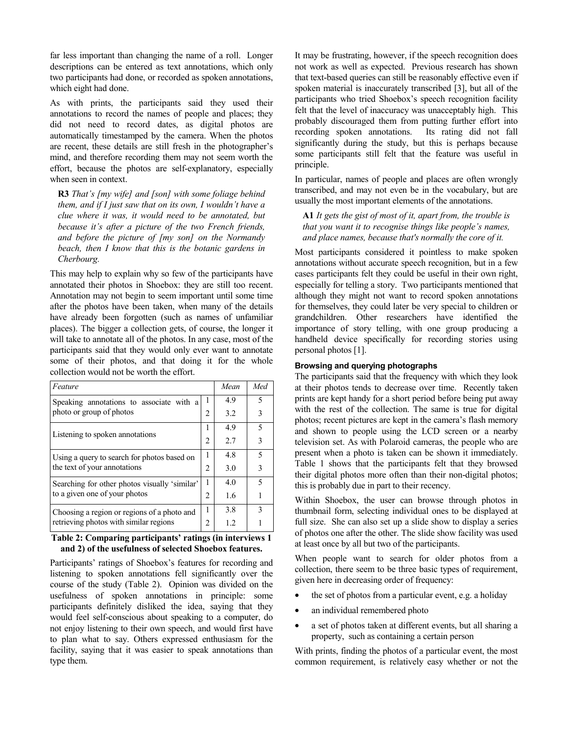far less important than changing the name of a roll. Longer descriptions can be entered as text annotations, which only two participants had done, or recorded as spoken annotations, which eight had done.

As with prints, the participants said they used their annotations to record the names of people and places; they did not need to record dates, as digital photos are automatically timestamped by the camera. When the photos are recent, these details are still fresh in the photographer's mind, and therefore recording them may not seem worth the effort, because the photos are self-explanatory, especially when seen in context.

**R3** *That's [my wife] and [son] with some foliage behind them, and if I just saw that on its own, I wouldn't have a clue where it was, it would need to be annotated, but because it's after a picture of the two French friends, and before the picture of [my son] on the Normandy beach, then I know that this is the botanic gardens in Cherbourg.* 

This may help to explain why so few of the participants have annotated their photos in Shoebox: they are still too recent. Annotation may not begin to seem important until some time after the photos have been taken, when many of the details have already been forgotten (such as names of unfamiliar places). The bigger a collection gets, of course, the longer it will take to annotate all of the photos. In any case, most of the participants said that they would only ever want to annotate some of their photos, and that doing it for the whole collection would not be worth the effort.

| Feature                                                                               |   | Mean | Med |
|---------------------------------------------------------------------------------------|---|------|-----|
| Speaking annotations to associate with a<br>photo or group of photos                  | 1 | 4.9  | 5   |
|                                                                                       | 2 | 3.2  | 3   |
| Listening to spoken annotations                                                       | 1 | 4.9  | 5   |
|                                                                                       | 2 | 2.7  | 3   |
| Using a query to search for photos based on<br>the text of your annotations           | 1 | 4.8  | 5   |
|                                                                                       | 2 | 3.0  | 3   |
| Searching for other photos visually 'similar'<br>to a given one of your photos        | 1 | 4.0  | 5   |
|                                                                                       | 2 | 1.6  |     |
| Choosing a region or regions of a photo and<br>retrieving photos with similar regions | 1 | 3.8  | 3   |
|                                                                                       | 2 | 1.2  |     |

#### **Table 2: Comparing participants' ratings (in interviews 1 and 2) of the usefulness of selected Shoebox features.**

Participants' ratings of Shoebox's features for recording and listening to spoken annotations fell significantly over the course of the study (Table 2). Opinion was divided on the usefulness of spoken annotations in principle: some participants definitely disliked the idea, saying that they would feel self-conscious about speaking to a computer, do not enjoy listening to their own speech, and would first have to plan what to say. Others expressed enthusiasm for the facility, saying that it was easier to speak annotations than type them.

It may be frustrating, however, if the speech recognition does not work as well as expected. Previous research has shown that text-based queries can still be reasonably effective even if spoken material is inaccurately transcribed [3], but all of the participants who tried Shoebox's speech recognition facility felt that the level of inaccuracy was unacceptably high. This probably discouraged them from putting further effort into recording spoken annotations. Its rating did not fall significantly during the study, but this is perhaps because some participants still felt that the feature was useful in principle.

In particular, names of people and places are often wrongly transcribed, and may not even be in the vocabulary, but are usually the most important elements of the annotations.

**A1** *It gets the gist of most of it, apart from, the trouble is that you want it to recognise things like people's names, and place names, because that's normally the core of it.* 

Most participants considered it pointless to make spoken annotations without accurate speech recognition, but in a few cases participants felt they could be useful in their own right, especially for telling a story. Two participants mentioned that although they might not want to record spoken annotations for themselves, they could later be very special to children or grandchildren. Other researchers have identified the importance of story telling, with one group producing a handheld device specifically for recording stories using personal photos [1].

# **Browsing and querying photographs**

The participants said that the frequency with which they look at their photos tends to decrease over time. Recently taken prints are kept handy for a short period before being put away with the rest of the collection. The same is true for digital photos; recent pictures are kept in the camera's flash memory and shown to people using the LCD screen or a nearby television set. As with Polaroid cameras, the people who are present when a photo is taken can be shown it immediately. Table 1 shows that the participants felt that they browsed their digital photos more often than their non-digital photos; this is probably due in part to their recency.

Within Shoebox, the user can browse through photos in thumbnail form, selecting individual ones to be displayed at full size. She can also set up a slide show to display a series of photos one after the other. The slide show facility was used at least once by all but two of the participants.

When people want to search for older photos from a collection, there seem to be three basic types of requirement, given here in decreasing order of frequency:

- the set of photos from a particular event, e.g. a holiday
- an individual remembered photo
- a set of photos taken at different events, but all sharing a property, such as containing a certain person

With prints, finding the photos of a particular event, the most common requirement, is relatively easy whether or not the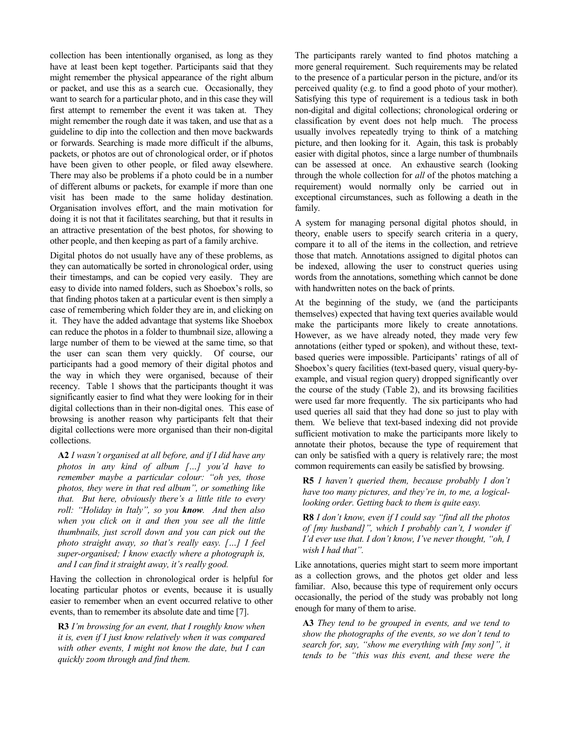collection has been intentionally organised, as long as they have at least been kept together. Participants said that they might remember the physical appearance of the right album or packet, and use this as a search cue. Occasionally, they want to search for a particular photo, and in this case they will first attempt to remember the event it was taken at. They might remember the rough date it was taken, and use that as a guideline to dip into the collection and then move backwards or forwards. Searching is made more difficult if the albums, packets, or photos are out of chronological order, or if photos have been given to other people, or filed away elsewhere. There may also be problems if a photo could be in a number of different albums or packets, for example if more than one visit has been made to the same holiday destination. Organisation involves effort, and the main motivation for doing it is not that it facilitates searching, but that it results in an attractive presentation of the best photos, for showing to other people, and then keeping as part of a family archive.

Digital photos do not usually have any of these problems, as they can automatically be sorted in chronological order, using their timestamps, and can be copied very easily. They are easy to divide into named folders, such as Shoebox's rolls, so that finding photos taken at a particular event is then simply a case of remembering which folder they are in, and clicking on it. They have the added advantage that systems like Shoebox can reduce the photos in a folder to thumbnail size, allowing a large number of them to be viewed at the same time, so that the user can scan them very quickly. Of course, our participants had a good memory of their digital photos and the way in which they were organised, because of their recency. Table 1 shows that the participants thought it was significantly easier to find what they were looking for in their digital collections than in their non-digital ones. This ease of browsing is another reason why participants felt that their digital collections were more organised than their non-digital collections.

**A2** *I wasn't organised at all before, and if I did have any photos in any kind of album […] you'd have to remember maybe a particular colour: "oh yes, those photos, they were in that red album", or something like that. But here, obviously there's a little title to every roll: "Holiday in Italy", so you know. And then also when you click on it and then you see all the little thumbnails, just scroll down and you can pick out the photo straight away, so that's really easy. […] I feel super-organised; I know exactly where a photograph is, and I can find it straight away, it's really good.* 

Having the collection in chronological order is helpful for locating particular photos or events, because it is usually easier to remember when an event occurred relative to other events, than to remember its absolute date and time [7].

**R3** *I'm browsing for an event, that I roughly know when it is, even if I just know relatively when it was compared with other events, I might not know the date, but I can quickly zoom through and find them.* 

The participants rarely wanted to find photos matching a more general requirement. Such requirements may be related to the presence of a particular person in the picture, and/or its perceived quality (e.g. to find a good photo of your mother). Satisfying this type of requirement is a tedious task in both non-digital and digital collections; chronological ordering or classification by event does not help much. The process usually involves repeatedly trying to think of a matching picture, and then looking for it. Again, this task is probably easier with digital photos, since a large number of thumbnails can be assessed at once. An exhaustive search (looking through the whole collection for *all* of the photos matching a requirement) would normally only be carried out in exceptional circumstances, such as following a death in the family.

A system for managing personal digital photos should, in theory, enable users to specify search criteria in a query, compare it to all of the items in the collection, and retrieve those that match. Annotations assigned to digital photos can be indexed, allowing the user to construct queries using words from the annotations, something which cannot be done with handwritten notes on the back of prints.

At the beginning of the study, we (and the participants themselves) expected that having text queries available would make the participants more likely to create annotations. However, as we have already noted, they made very few annotations (either typed or spoken), and without these, textbased queries were impossible. Participants' ratings of all of Shoebox's query facilities (text-based query, visual query-byexample, and visual region query) dropped significantly over the course of the study (Table 2), and its browsing facilities were used far more frequently. The six participants who had used queries all said that they had done so just to play with them. We believe that text-based indexing did not provide sufficient motivation to make the participants more likely to annotate their photos, because the type of requirement that can only be satisfied with a query is relatively rare; the most common requirements can easily be satisfied by browsing.

**R5** *I haven't queried them, because probably I don't have too many pictures, and they're in, to me, a logicallooking order. Getting back to them is quite easy.* 

**R8** *I don't know, even if I could say "find all the photos of [my husband]", which I probably can't, I wonder if I'd ever use that. I don't know, I've never thought, "oh, I wish I had that".* 

Like annotations, queries might start to seem more important as a collection grows, and the photos get older and less familiar. Also, because this type of requirement only occurs occasionally, the period of the study was probably not long enough for many of them to arise.

**A3** *They tend to be grouped in events, and we tend to show the photographs of the events, so we don't tend to search for, say, "show me everything with [my son]", it tends to be "this was this event, and these were the*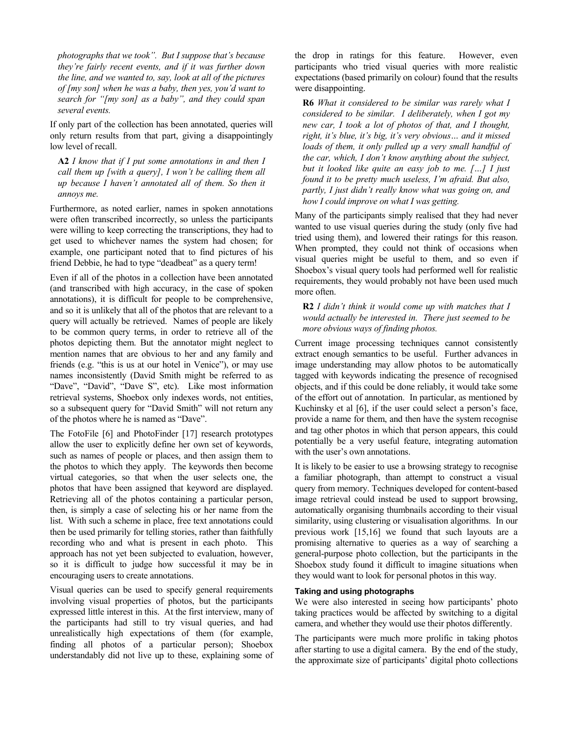*photographs that we took". But I suppose that's because they're fairly recent events, and if it was further down the line, and we wanted to, say, look at all of the pictures of [my son] when he was a baby, then yes, you'd want to search for "[my son] as a baby", and they could span several events.* 

If only part of the collection has been annotated, queries will only return results from that part, giving a disappointingly low level of recall.

**A2** *I know that if I put some annotations in and then I call them up [with a query], I won't be calling them all up because I haven't annotated all of them. So then it annoys me.* 

Furthermore, as noted earlier, names in spoken annotations were often transcribed incorrectly, so unless the participants were willing to keep correcting the transcriptions, they had to get used to whichever names the system had chosen; for example, one participant noted that to find pictures of his friend Debbie, he had to type "deadbeat" as a query term!

Even if all of the photos in a collection have been annotated (and transcribed with high accuracy, in the case of spoken annotations), it is difficult for people to be comprehensive, and so it is unlikely that all of the photos that are relevant to a query will actually be retrieved. Names of people are likely to be common query terms, in order to retrieve all of the photos depicting them. But the annotator might neglect to mention names that are obvious to her and any family and friends (e.g. "this is us at our hotel in Venice"), or may use names inconsistently (David Smith might be referred to as "Dave", "David", "Dave S", etc). Like most information retrieval systems, Shoebox only indexes words, not entities, so a subsequent query for "David Smith" will not return any of the photos where he is named as "Dave".

The FotoFile [6] and PhotoFinder [17] research prototypes allow the user to explicitly define her own set of keywords, such as names of people or places, and then assign them to the photos to which they apply. The keywords then become virtual categories, so that when the user selects one, the photos that have been assigned that keyword are displayed. Retrieving all of the photos containing a particular person, then, is simply a case of selecting his or her name from the list. With such a scheme in place, free text annotations could then be used primarily for telling stories, rather than faithfully recording who and what is present in each photo. This approach has not yet been subjected to evaluation, however, so it is difficult to judge how successful it may be in encouraging users to create annotations.

Visual queries can be used to specify general requirements involving visual properties of photos, but the participants expressed little interest in this. At the first interview, many of the participants had still to try visual queries, and had unrealistically high expectations of them (for example, finding all photos of a particular person); Shoebox understandably did not live up to these, explaining some of the drop in ratings for this feature. However, even participants who tried visual queries with more realistic expectations (based primarily on colour) found that the results were disappointing.

**R6** *What it considered to be similar was rarely what I considered to be similar. I deliberately, when I got my new car, I took a lot of photos of that, and I thought, right, it's blue, it's big, it's very obvious… and it missed loads of them, it only pulled up a very small handful of the car, which, I don't know anything about the subject, but it looked like quite an easy job to me. […] I just found it to be pretty much useless, I'm afraid. But also, partly, I just didn't really know what was going on, and how I could improve on what I was getting.* 

Many of the participants simply realised that they had never wanted to use visual queries during the study (only five had tried using them), and lowered their ratings for this reason. When prompted, they could not think of occasions when visual queries might be useful to them, and so even if Shoebox's visual query tools had performed well for realistic requirements, they would probably not have been used much more often.

**R2** *I didn't think it would come up with matches that I would actually be interested in. There just seemed to be more obvious ways of finding photos.* 

Current image processing techniques cannot consistently extract enough semantics to be useful. Further advances in image understanding may allow photos to be automatically tagged with keywords indicating the presence of recognised objects, and if this could be done reliably, it would take some of the effort out of annotation. In particular, as mentioned by Kuchinsky et al [6], if the user could select a person's face, provide a name for them, and then have the system recognise and tag other photos in which that person appears, this could potentially be a very useful feature, integrating automation with the user's own annotations.

It is likely to be easier to use a browsing strategy to recognise a familiar photograph, than attempt to construct a visual query from memory. Techniques developed for content-based image retrieval could instead be used to support browsing, automatically organising thumbnails according to their visual similarity, using clustering or visualisation algorithms. In our previous work [15,16] we found that such layouts are a promising alternative to queries as a way of searching a general-purpose photo collection, but the participants in the Shoebox study found it difficult to imagine situations when they would want to look for personal photos in this way.

# **Taking and using photographs**

We were also interested in seeing how participants' photo taking practices would be affected by switching to a digital camera, and whether they would use their photos differently.

The participants were much more prolific in taking photos after starting to use a digital camera. By the end of the study, the approximate size of participants' digital photo collections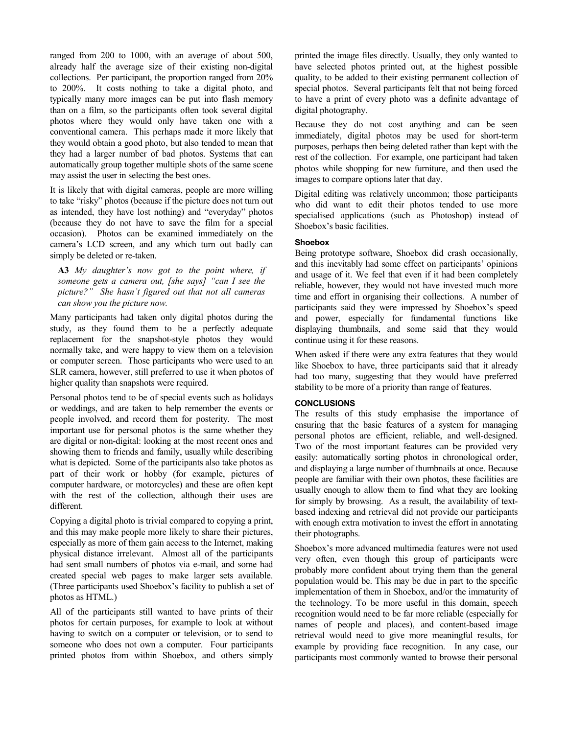ranged from 200 to 1000, with an average of about 500, already half the average size of their existing non-digital collections. Per participant, the proportion ranged from 20% to 200%. It costs nothing to take a digital photo, and typically many more images can be put into flash memory than on a film, so the participants often took several digital photos where they would only have taken one with a conventional camera. This perhaps made it more likely that they would obtain a good photo, but also tended to mean that they had a larger number of bad photos. Systems that can automatically group together multiple shots of the same scene may assist the user in selecting the best ones.

It is likely that with digital cameras, people are more willing to take "risky" photos (because if the picture does not turn out as intended, they have lost nothing) and "everyday" photos (because they do not have to save the film for a special occasion). Photos can be examined immediately on the camera's LCD screen, and any which turn out badly can simply be deleted or re-taken.

**A3** *My daughter's now got to the point where, if someone gets a camera out, [she says] "can I see the picture?" She hasn't figured out that not all cameras can show you the picture now.* 

Many participants had taken only digital photos during the study, as they found them to be a perfectly adequate replacement for the snapshot-style photos they would normally take, and were happy to view them on a television or computer screen. Those participants who were used to an SLR camera, however, still preferred to use it when photos of higher quality than snapshots were required.

Personal photos tend to be of special events such as holidays or weddings, and are taken to help remember the events or people involved, and record them for posterity. The most important use for personal photos is the same whether they are digital or non-digital: looking at the most recent ones and showing them to friends and family, usually while describing what is depicted. Some of the participants also take photos as part of their work or hobby (for example, pictures of computer hardware, or motorcycles) and these are often kept with the rest of the collection, although their uses are different.

Copying a digital photo is trivial compared to copying a print, and this may make people more likely to share their pictures, especially as more of them gain access to the Internet, making physical distance irrelevant. Almost all of the participants had sent small numbers of photos via e-mail, and some had created special web pages to make larger sets available. (Three participants used Shoebox's facility to publish a set of photos as HTML.)

All of the participants still wanted to have prints of their photos for certain purposes, for example to look at without having to switch on a computer or television, or to send to someone who does not own a computer. Four participants printed photos from within Shoebox, and others simply printed the image files directly. Usually, they only wanted to have selected photos printed out, at the highest possible quality, to be added to their existing permanent collection of special photos. Several participants felt that not being forced to have a print of every photo was a definite advantage of digital photography.

Because they do not cost anything and can be seen immediately, digital photos may be used for short-term purposes, perhaps then being deleted rather than kept with the rest of the collection. For example, one participant had taken photos while shopping for new furniture, and then used the images to compare options later that day.

Digital editing was relatively uncommon; those participants who did want to edit their photos tended to use more specialised applications (such as Photoshop) instead of Shoebox's basic facilities.

#### **Shoebox**

Being prototype software, Shoebox did crash occasionally, and this inevitably had some effect on participants' opinions and usage of it. We feel that even if it had been completely reliable, however, they would not have invested much more time and effort in organising their collections. A number of participants said they were impressed by Shoebox's speed and power, especially for fundamental functions like displaying thumbnails, and some said that they would continue using it for these reasons.

When asked if there were any extra features that they would like Shoebox to have, three participants said that it already had too many, suggesting that they would have preferred stability to be more of a priority than range of features.

# **CONCLUSIONS**

The results of this study emphasise the importance of ensuring that the basic features of a system for managing personal photos are efficient, reliable, and well-designed. Two of the most important features can be provided very easily: automatically sorting photos in chronological order, and displaying a large number of thumbnails at once. Because people are familiar with their own photos, these facilities are usually enough to allow them to find what they are looking for simply by browsing. As a result, the availability of textbased indexing and retrieval did not provide our participants with enough extra motivation to invest the effort in annotating their photographs.

Shoebox's more advanced multimedia features were not used very often, even though this group of participants were probably more confident about trying them than the general population would be. This may be due in part to the specific implementation of them in Shoebox, and/or the immaturity of the technology. To be more useful in this domain, speech recognition would need to be far more reliable (especially for names of people and places), and content-based image retrieval would need to give more meaningful results, for example by providing face recognition. In any case, our participants most commonly wanted to browse their personal